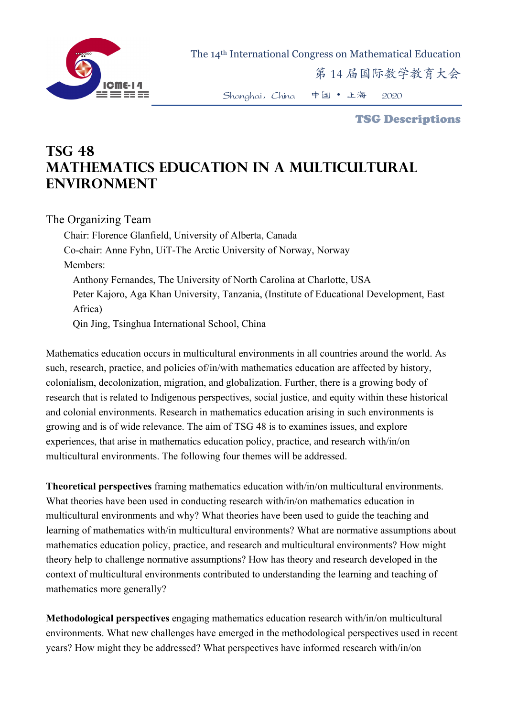

The 14th International Congress on Mathematical Education

第 14 届国际数学教育大会

Shanghai,China 中国 • 上海 2020

TSG Descriptions

## **TSG 48 Mathematics Education in a Multicultural Environment**

The Organizing Team

Chair: Florence Glanfield, University of Alberta, Canada Co-chair: Anne Fyhn, UiT-The Arctic University of Norway, Norway Members: Anthony Fernandes, The University of North Carolina at Charlotte, USA Peter Kajoro, Aga Khan University, Tanzania, (Institute of Educational Development, East Africa) Qin Jing, Tsinghua International School, China

Mathematics education occurs in multicultural environments in all countries around the world. As such, research, practice, and policies of/in/with mathematics education are affected by history, colonialism, decolonization, migration, and globalization. Further, there is a growing body of research that is related to Indigenous perspectives, social justice, and equity within these historical and colonial environments. Research in mathematics education arising in such environments is growing and is of wide relevance. The aim of TSG 48 is to examines issues, and explore experiences, that arise in mathematics education policy, practice, and research with/in/on multicultural environments. The following four themes will be addressed.

**Theoretical perspectives** framing mathematics education with/in/on multicultural environments. What theories have been used in conducting research with/in/on mathematics education in multicultural environments and why? What theories have been used to guide the teaching and learning of mathematics with/in multicultural environments? What are normative assumptions about mathematics education policy, practice, and research and multicultural environments? How might theory help to challenge normative assumptions? How has theory and research developed in the context of multicultural environments contributed to understanding the learning and teaching of mathematics more generally?

**Methodological perspectives** engaging mathematics education research with/in/on multicultural environments. What new challenges have emerged in the methodological perspectives used in recent years? How might they be addressed? What perspectives have informed research with/in/on